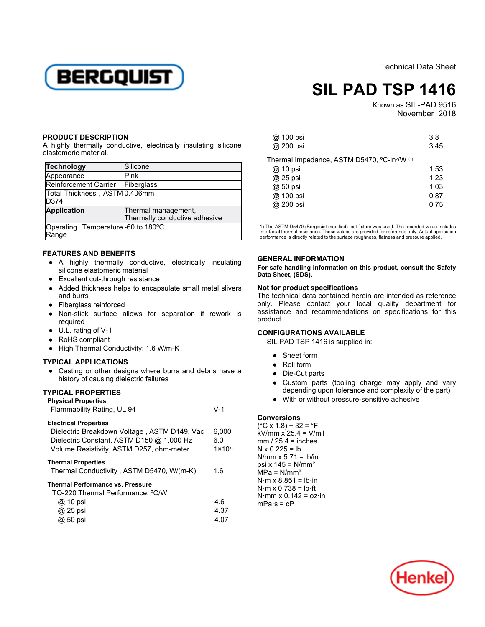

Technical Data Sheet

# **SIL PAD TSP 1416**

Known as SIL-PAD 9516 Ab 3516<br>November 2018

#### **PRODUCT DESCRIPTION**

A highly thermally conductive, electrically insulating silicone renginy elemially extensive

| Technology                                 | Silicone                                             |
|--------------------------------------------|------------------------------------------------------|
| Appearance                                 | Pink                                                 |
| Reinforcement Carrier                      | Fiberglass                                           |
| Total Thickness, ASTM0.406mm<br>D374       |                                                      |
| <b>Application</b>                         | Thermal management,<br>Thermally conductive adhesive |
| Operating Temperature-60 to 180°C<br>Range |                                                      |

## **FEATURES AND BENEFITS**

- A highly thermally conductive, electrically insulating silicone elastomeric material
- Excellent cut-through resistance
- Added thickness helps to encapsulate small metal slivers Added un
- Fiberglass reinforced
- Non-stick surface allows for separation if rework is rvon suci
- U.L. rating of V-1
- RoHS compliant
- High Thermal Conductivity: 1.6 W/m-K

## **TYPICAL APPLICATIONS**

● Casting or other designs where burrs and debris have a history of causing dielectric failures

## **TYPICAL PROPERTIES**

| <b>Physical Properties</b> |       |
|----------------------------|-------|
| Flammability Rating, UL 94 | $V-1$ |

### **Electrical Properties**

| Dielectric Breakdown Voltage, ASTM D149, Vac | 6,000              |
|----------------------------------------------|--------------------|
| Dielectric Constant, ASTM D150 @ 1,000 Hz    | 6.0                |
| Volume Resistivity, ASTM D257, ohm-meter     | $1 \times 10^{10}$ |
| Thermal Properties                           |                    |
| Thermal Conductivity, ASTM D5470, W/(m-K)    | 1.6                |
| <b>Thermal Performance vs. Pressure</b>      |                    |
| TO-220 Thermal Performance, °C/W             |                    |
| @ 10 psi                                     | 4.6                |
| @ 25 psi                                     | 4.37               |
| @ 50 psi                                     | 4.07               |
|                                              |                    |

| @ 100 psi<br>@ 200 psi                      | 3.8<br>3.45 |
|---------------------------------------------|-------------|
| Thermal Impedance, ASTM D5470, °C-in?/W (1) |             |
| @ 10 psi                                    | 1.53        |
| @ 25 psi                                    | 1.23        |
| @ 50 psi                                    | 1.03        |
| @ 100 psi                                   | 0.87        |
| @ 200 psi                                   | 0.75        |
|                                             |             |

1) The ASTM D5470 (Bergquist modified) test fixture was used. The recorded value includes interfacial thermal resistance. These values are provided for reference only. Actual application performance is directly related to the surface roughness, flatness and pressure applied.

#### **GENERAL INFORMATION**

**For safe handling information on this product, consult the Safety Data Sheet, (SDS).**

## **Not for product specifications**

The technical data contained herein are intended as reference only. Please contact your local quality department for assistance and recommendations on specifications for this product.

## **CONFIGURATIONS AVAILABLE**

SIL PAD TSP 1416 is supplied in:

- Sheet form
- Roll form
- Die-Cut parts
- Custom parts (tooling charge may apply and vary depending upon tolerance and complexity of the part)
- With or without pressure-sensitive adhesive

## **Conversions**

 $(C X 1.8) + 32 = C F$  $kV/mm x^2$  25.4 = V/mil  $mm / 25.4 = inches$ N x 0.225 = lb N/mm x 5.71 = lb/in psi  $x$  145 = N/mm<sup>2</sup>  $MPa = N/mm^2$ N·m x 8.851 = lb·in N·m x 0.738 = lb·ft  $N \cdot m \times 0.788 = 181$  $mPa·s = cP$